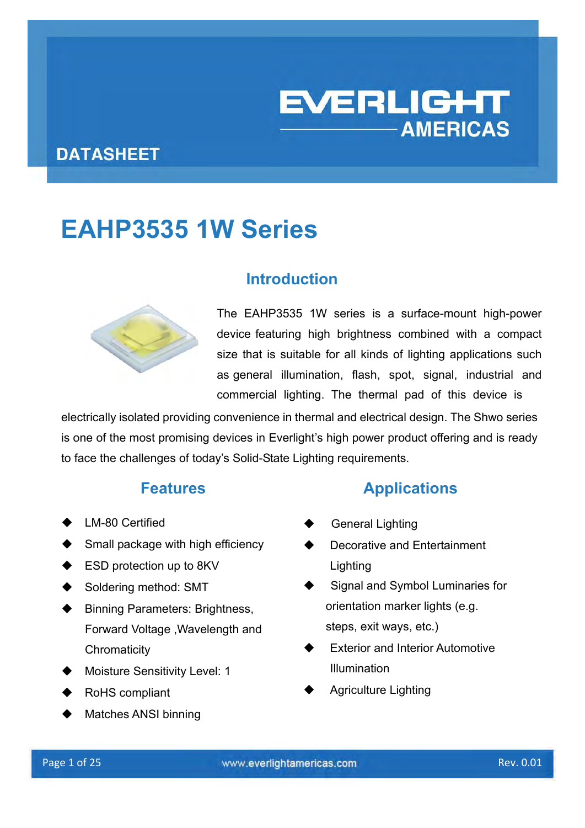# **EVERLIGHT AMERICAS**

## **DATASHEET**

# **EAHP3535 1W Series**



## **Introduction**

The EAHP3535 1W series is a surface-mount high-power device featuring high brightness combined with a compact size that is suitable for all kinds of lighting applications such as general illumination, flash, spot, signal, industrial and commercial lighting. The thermal pad of this device is

electrically isolated providing convenience in thermal and electrical design. The Shwo series is one of the most promising devices in Everlight's high power product offering and is ready to face the challenges of today's Solid-State Lighting requirements.

- **←** LM-80 Certified
- $\blacklozenge$  Small package with high efficiency
- **ESD protection up to 8KV**
- Soldering method: SMT
- Binning Parameters: Brightness, Forward Voltage ,Wavelength and **Chromaticity**
- Moisture Sensitivity Level: 1
- RoHS compliant
- Matches ANSI binning

#### **Features Applications**

- General Lighting
- Decorative and Entertainment **Lighting**
- Signal and Symbol Luminaries for orientation marker lights (e.g. steps, exit ways, etc.)
- Exterior and Interior Automotive Illumination
- Agriculture Lighting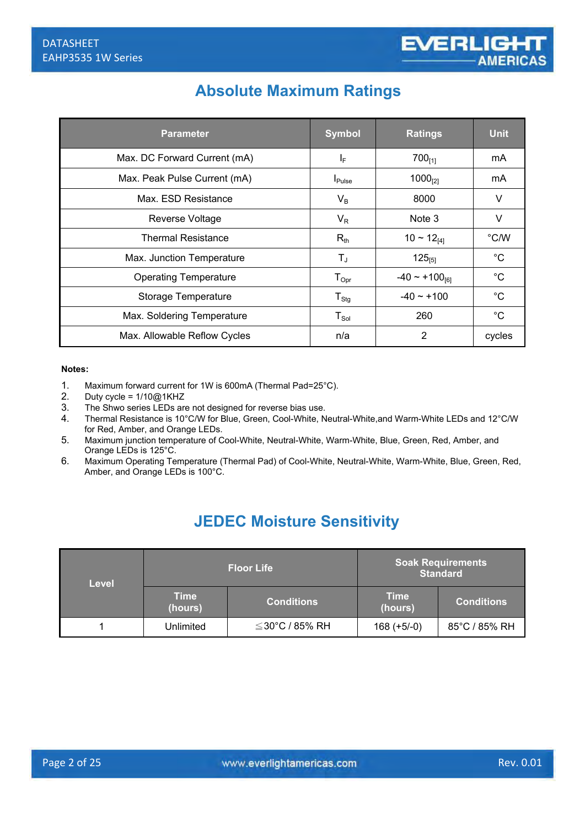## **Absolute Maximum Ratings**

| <b>Parameter</b>             | <b>Symbol</b>        | <b>Ratings</b>               | <b>Unit</b>   |
|------------------------------|----------------------|------------------------------|---------------|
| Max. DC Forward Current (mA) | ΙF                   | $700_{[1]}$                  | mA            |
| Max. Peak Pulse Current (mA) | $I_{\mathsf{Pulse}}$ | $1000_{[2]}$                 | mA            |
| Max. ESD Resistance          | $V_B$                | 8000                         | V             |
| Reverse Voltage              | $V_{R}$              | Note 3                       | V             |
| <b>Thermal Resistance</b>    | $R_{th}$             | $10 \sim 12_{141}$           | $\degree$ C/W |
| Max. Junction Temperature    | $T_{J}$              | $125_{[5]}$                  | °C            |
| <b>Operating Temperature</b> | $T_{\mathsf{Opt}}$   | $-40 \sim +100_{\text{[6]}}$ | $^{\circ}C$   |
| <b>Storage Temperature</b>   | ${\sf T}_{\sf Stg}$  | $-40 \sim +100$              | $^{\circ}C$   |
| Max. Soldering Temperature   | ${\sf T}_{\sf Sol}$  | 260                          | °C            |
| Max. Allowable Reflow Cycles | n/a                  | 2                            | cycles        |

#### **Notes:**

- 1. Maximum forward current for 1W is 600mA (Thermal Pad=25°C).<br>2. Duty cycle =  $1/10@1KHZ$
- Duty cycle =  $1/10@1KHZ$
- 3. The Shwo series LEDs are not designed for reverse bias use.
- 4. Thermal Resistance is 10°C/W for Blue, Green, Cool-White, Neutral-White,and Warm-White LEDs and 12°C/W for Red, Amber, and Orange LEDs.
- 5. Maximum junction temperature of Cool-White, Neutral-White, Warm-White, Blue, Green, Red, Amber, and Orange LEDs is 125°C.
- 6. Maximum Operating Temperature (Thermal Pad) of Cool-White, Neutral-White, Warm-White, Blue, Green, Red, Amber, and Orange LEDs is 100°C.

## **JEDEC Moisture Sensitivity**

| Level |                        | <b>Floor Life</b>    | <b>Soak Requirements</b><br><b>Standard</b> |                   |  |
|-------|------------------------|----------------------|---------------------------------------------|-------------------|--|
|       | <b>Time</b><br>(hours) | <b>Conditions</b>    | <b>Time</b><br>(hours)                      | <b>Conditions</b> |  |
|       | Unlimited              | $\leq$ 30°C / 85% RH | $168 (+5/-0)$                               | 85°C / 85% RH     |  |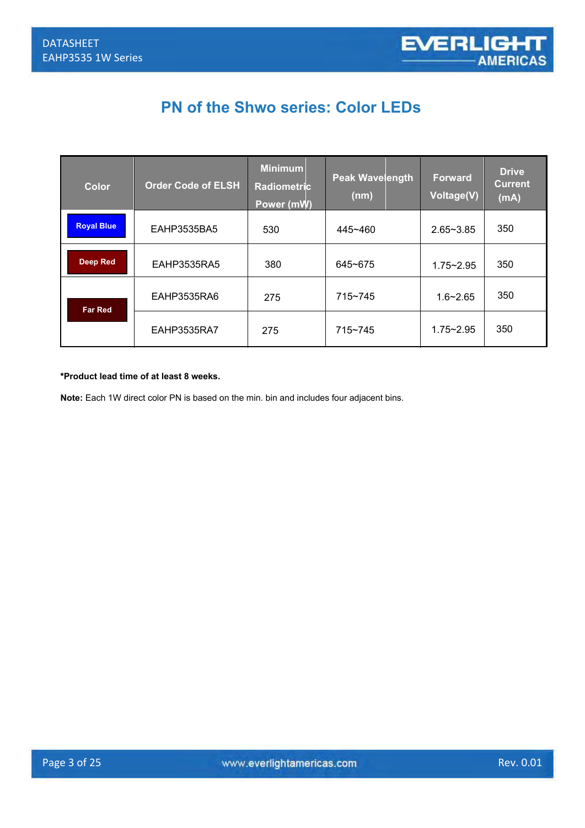## **PN of the Shwo series: Color LEDs**

| <b>Color</b>      | <b>Order Code of ELSH</b> | <b>Minimum</b><br><b>Radiometric</b><br>Power (mW) | <b>Peak Wavelength</b><br>(nm) | <b>Forward</b><br>Voltage(V) | <b>Drive</b><br><b>Current</b><br>(mA) |
|-------------------|---------------------------|----------------------------------------------------|--------------------------------|------------------------------|----------------------------------------|
| <b>Royal Blue</b> | EAHP3535BA5               | 530                                                | 445~460                        | $2.65 - 3.85$                | 350                                    |
| <b>Deep Red</b>   | EAHP3535RA5               | 380                                                | 645~675                        | $1.75 - 2.95$                | 350                                    |
| <b>Far Red</b>    | EAHP3535RA6               | 275                                                | $715 - 745$                    | $1.6 - 2.65$                 | 350                                    |
|                   | EAHP3535RA7               | 275                                                | $715 - 745$                    | $1.75 - 2.95$                | 350                                    |

#### **\*Product lead time of at least 8 weeks.**

Note: Each 1W direct color PN is based on the min. bin and includes four adjacent bins.<br> **Note:** Each 1W direct color PN is based on the min. bin and includes four adjacent bins.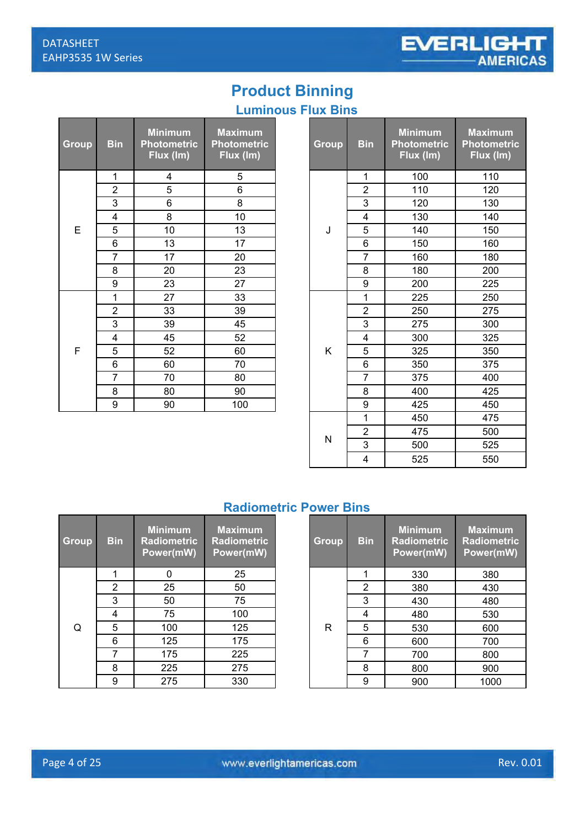Е

## **Product Binning**

#### **Luminous Flux Bins**

| Group | <b>Bin</b>     | <b>Minimum</b><br><b>Photometric</b><br>Flux (Im) | <b>Maximum</b><br><b>Photometric</b><br>Flux (Im) |
|-------|----------------|---------------------------------------------------|---------------------------------------------------|
|       | 1              | 4                                                 | 5                                                 |
|       | $\overline{2}$ | 5                                                 | 6                                                 |
|       | 3              | 6                                                 | 8                                                 |
|       | 4              | 8                                                 | 10                                                |
| E     | 5              | 10                                                | 13                                                |
|       | 6              | 13                                                | 17                                                |
|       | $\overline{7}$ | 17                                                | 20                                                |
|       | 8              | 20                                                | 23                                                |
|       | 9              | 23                                                | 27                                                |
|       | 1              | 27                                                | 33                                                |
|       | $\overline{2}$ | 33                                                | 39                                                |
|       | 3              | 39                                                | 45                                                |
|       | $\overline{4}$ | 45                                                | 52                                                |
| F     | 5              | 52                                                | 60                                                |
|       | 6              | 60                                                | 70                                                |
|       | 7              | 70                                                | 80                                                |
|       | 8              | 80                                                | 90                                                |
|       | 9              | 90                                                | 100                                               |

| lin.           | <b>Minimum</b><br><b>Photometric</b><br>Flux (Im) | <b>Maximum</b><br><b>Photometric</b><br>Flux (Im) | Group | <b>Bin</b>     | <b>Minimum</b><br><b>Photometric</b><br>Flux (Im) | <b>Maximum</b><br><b>Photometric</b><br>Flux (Im) |
|----------------|---------------------------------------------------|---------------------------------------------------|-------|----------------|---------------------------------------------------|---------------------------------------------------|
| 1              | 4                                                 | 5                                                 |       | $\mathbf 1$    | 100                                               | 110                                               |
| $\overline{2}$ | 5                                                 | 6                                                 |       | $\overline{2}$ | 110                                               | 120                                               |
| $\overline{3}$ | 6                                                 | 8                                                 |       | 3              | 120                                               | 130                                               |
| 4              | 8                                                 | 10                                                |       | 4              | 130                                               | 140                                               |
| 5              | 10                                                | 13                                                | J     | 5              | 140                                               | 150                                               |
| $\overline{6}$ | 13                                                | 17                                                |       | 6              | 150                                               | 160                                               |
| $\overline{7}$ | 17                                                | 20                                                |       | $\overline{7}$ | 160                                               | 180                                               |
| $\overline{8}$ | 20                                                | 23                                                |       | 8              | 180                                               | 200                                               |
| $\overline{9}$ | 23                                                | 27                                                |       | 9              | 200                                               | 225                                               |
| 1              | 27                                                | 33                                                |       | 1              | 225                                               | 250                                               |
| $\overline{2}$ | 33                                                | 39                                                |       | $\overline{2}$ | 250                                               | 275                                               |
| $\overline{3}$ | 39                                                | 45                                                |       | 3              | 275                                               | 300                                               |
| $\overline{4}$ | 45                                                | 52                                                |       | $\overline{4}$ | 300                                               | 325                                               |
| $\overline{5}$ | 52                                                | 60                                                | K     | 5              | 325                                               | 350                                               |
| $rac{6}{7}$    | 60                                                | 70                                                |       | 6              | 350                                               | 375                                               |
|                | 70                                                | 80                                                |       | $\overline{7}$ | 375                                               | 400                                               |
| $\overline{8}$ | 80                                                | 90                                                |       | 8              | 400                                               | 425                                               |
| 9              | 90                                                | 100                                               |       | 9              | 425                                               | 450                                               |
|                |                                                   |                                                   |       | 1              | 450                                               | 475                                               |
|                |                                                   |                                                   |       | $\overline{2}$ | 475                                               | 500                                               |
|                |                                                   |                                                   | N     | 3              | 500                                               | 525                                               |
|                |                                                   |                                                   |       | $\overline{4}$ | 525                                               | 550                                               |

#### **Radiometric Power Bins**

| <b>Group</b> | <b>Bin</b> | <b>Minimum</b><br>Radiometric<br>Power(mW) | <b>Maximum</b><br><b>Radiometric</b><br>Power(mW) |
|--------------|------------|--------------------------------------------|---------------------------------------------------|
|              | 1          | n                                          | 25                                                |
|              | 2          | 25                                         | 50                                                |
|              | 3          | 50                                         | 75                                                |
|              | 4          | 75                                         | 100                                               |
| Q            | 5          | 100                                        | 125                                               |
|              | 6          | 125                                        | 175                                               |
|              | 7          | 175                                        | 225                                               |
|              | 8          | 225                                        | 275                                               |
|              | 9          | 275                                        | 330                                               |

|                        | RAMPHIGH IS LOWGL DINS                            |                                                   |  |              |            |                                                   |                                                   |  |
|------------------------|---------------------------------------------------|---------------------------------------------------|--|--------------|------------|---------------------------------------------------|---------------------------------------------------|--|
| $\mathop{\mathsf{in}}$ | <b>Minimum</b><br><b>Radiometric</b><br>Power(mW) | <b>Maximum</b><br><b>Radiometric</b><br>Power(mW) |  | <b>Group</b> | <b>Bin</b> | <b>Minimum</b><br><b>Radiometric</b><br>Power(mW) | <b>Maximum</b><br><b>Radiometric</b><br>Power(mW) |  |
| 1                      | 0                                                 | 25                                                |  |              |            | 330                                               | 380                                               |  |
| $\overline{2}$         | 25                                                | 50                                                |  |              | 2          | 380                                               | 430                                               |  |
| 3                      | 50                                                | 75                                                |  |              | 3          | 430                                               | 480                                               |  |
| 4                      | 75                                                | 100                                               |  |              | 4          | 480                                               | 530                                               |  |
| 5                      | 100                                               | 125                                               |  | R            | 5          | 530                                               | 600                                               |  |
| 6                      | 125                                               | 175                                               |  |              | 6          | 600                                               | 700                                               |  |
| $\overline{7}$         | 175                                               | 225                                               |  |              | 7          | 700                                               | 800                                               |  |
| 8                      | 225                                               | 275                                               |  |              | 8          | 800                                               | 900                                               |  |
| 9                      | 275                                               | 330                                               |  |              | 9          | 900                                               | 1000                                              |  |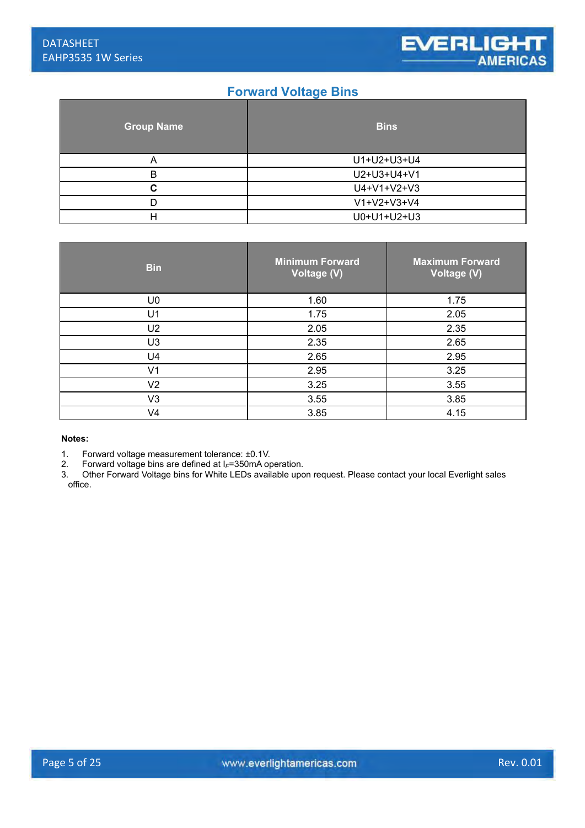#### **Forward Voltage Bins**

| <b>Group Name</b> | <b>Bins</b>   |
|-------------------|---------------|
| Α                 | U1+U2+U3+U4   |
| В                 | U2+U3+U4+V1   |
| C                 | U4+V1+V2+V3   |
| D                 | $V1+V2+V3+V4$ |
| Н                 | U0+U1+U2+U3   |

| <b>Bin</b>     | <b>Minimum Forward</b><br>Voltage (V) | <b>Maximum Forward</b><br>Voltage (V) |
|----------------|---------------------------------------|---------------------------------------|
| U <sub>0</sub> | 1.60                                  | 1.75                                  |
| U <sub>1</sub> | 1.75                                  | 2.05                                  |
| U2             | 2.05                                  | 2.35                                  |
| U <sub>3</sub> | 2.35                                  | 2.65                                  |
| U4             | 2.65                                  | 2.95                                  |
| V <sub>1</sub> | 2.95                                  | 3.25                                  |
| V <sub>2</sub> | 3.25                                  | 3.55                                  |
| V3             | 3.55                                  | 3.85                                  |
| V <sub>4</sub> | 3.85                                  | 4.15                                  |

**Notes:**

1. Forward voltage measurement tolerance:  $\pm 0.1$ V.<br>2. Forward voltage bins are defined at  $l = 350$ mA op

2. Forward voltage bins are defined at I*F*=350mA operation.

3. Other Forward Voltage bins for White LEDs available upon request. Please contact your local Everlight sales office.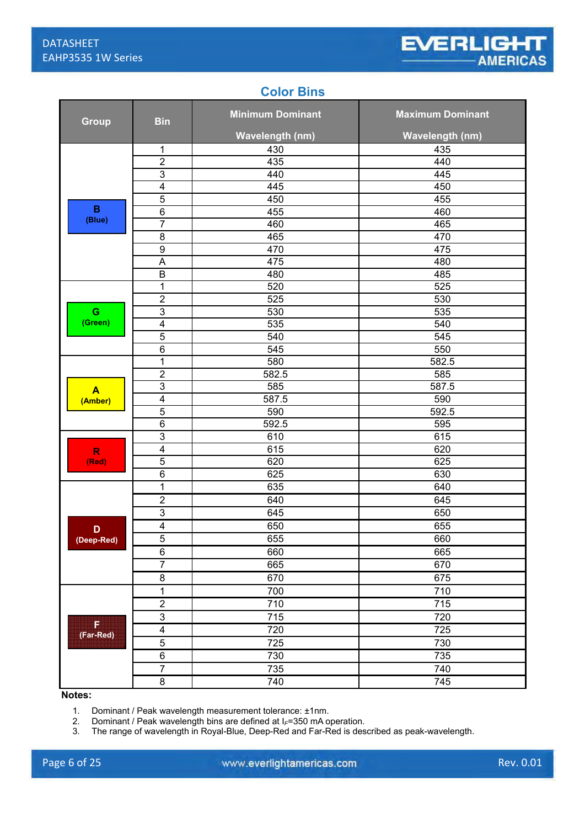#### **Color Bins**

| <b>Bin</b><br><b>Group</b>  |                         | <b>Minimum Dominant</b> | <b>Maximum Dominant</b> |  |
|-----------------------------|-------------------------|-------------------------|-------------------------|--|
|                             |                         | <b>Wavelength (nm)</b>  | <b>Wavelength (nm)</b>  |  |
|                             | 1                       | 430                     | 435                     |  |
|                             | $\overline{2}$          | 435                     | 440                     |  |
|                             | 3                       | 440                     | 445                     |  |
|                             | 4                       | 445                     | 450                     |  |
|                             | 5                       | 450                     | 455                     |  |
| $\mathbf B$                 | $6\phantom{1}6$         | 455                     | 460                     |  |
| (Blue)                      | $\overline{7}$          | 460                     | 465                     |  |
|                             | $\overline{8}$          | 465                     | 470                     |  |
|                             | $\boldsymbol{9}$        | 470                     | 475                     |  |
|                             | $\overline{A}$          | 475                     | 480                     |  |
|                             | $\sf B$                 | 480                     | 485                     |  |
|                             | $\mathbf 1$             | 520                     | 525                     |  |
|                             | $\overline{c}$          | 525                     | 530                     |  |
| G                           | $\mathfrak{B}$          | 530                     | 535                     |  |
| (Green)                     | $\overline{\mathbf{4}}$ | 535                     | 540                     |  |
|                             | $\overline{5}$          | 540                     | 545                     |  |
|                             | $\overline{6}$          | 545                     | 550                     |  |
|                             | $\mathbf{1}$            | 580                     | 582.5                   |  |
|                             | $\overline{2}$          | 582.5                   | 585                     |  |
| $\blacktriangle$<br>(Amber) | 3                       | 585                     | 587.5                   |  |
|                             | $\overline{4}$          | 587.5                   | 590                     |  |
|                             | 5                       | 590                     | 592.5                   |  |
|                             | $\overline{6}$          | 592.5                   | 595                     |  |
|                             | 3                       | 610                     | 615                     |  |
| $\overline{\mathsf{R}}$     | $\overline{4}$          | 615                     | 620                     |  |
| (Red)                       | 5                       | 620                     | 625                     |  |
|                             | $\overline{6}$          | 625                     | 630                     |  |
|                             | $\mathbf{1}$            | 635                     | 640                     |  |
|                             | $\overline{2}$          | 640                     | 645                     |  |
|                             | $\overline{3}$          | 645                     | 650                     |  |
| D                           | $\overline{4}$          | 650                     | 655                     |  |
| (Deep-Red)                  | $\overline{5}$          | 655                     | 660                     |  |
|                             | 6                       | 660                     | 665                     |  |
|                             | $\overline{7}$          | 665                     | 670                     |  |
|                             | $\bf 8$                 | 670                     | 675                     |  |
|                             | $\overline{1}$          | 700                     | 710                     |  |
|                             | $\overline{2}$          | 710                     | 715                     |  |
|                             | $\overline{3}$          | 715                     | 720                     |  |
| E<br>(Far-Red)              | $\overline{4}$          | 720                     | 725                     |  |
|                             | $\overline{5}$          | 725                     | 730                     |  |
|                             | $\overline{6}$          | 730                     | 735                     |  |
|                             | $\overline{7}$          | 735                     | 740                     |  |
|                             | $\bf 8$                 | 740                     | 745                     |  |

**Notes:**

1. Dominant / Peak wavelength measurement tolerance: ±1nm.

2. Dominant / Peak wavelength bins are defined at I*F*=350 mA operation.

3. The range of wavelength in Royal-Blue, Deep-Red and Far-Red is described as peak-wavelength.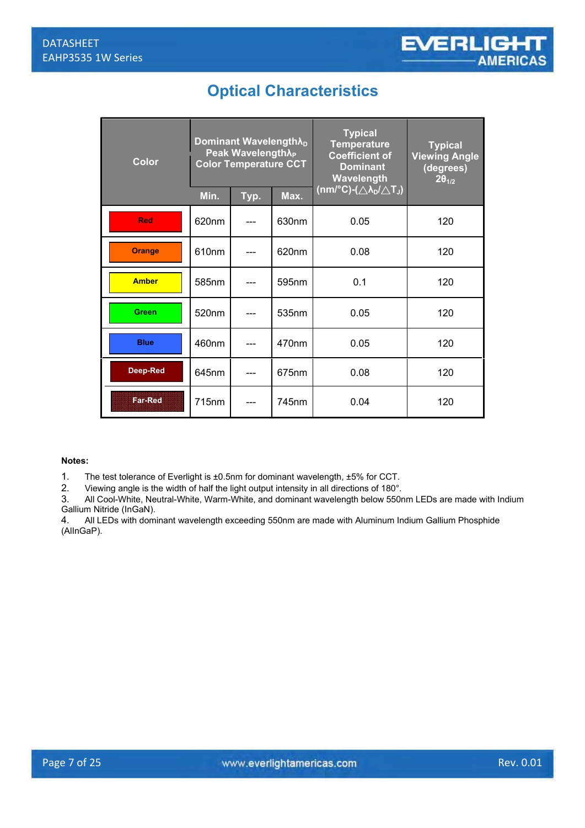## **Optical Characteristics**

| <b>Color</b>   | Dominant Wavelength $\lambda_{D}$<br>Peak Wavelength A <sub>p</sub><br><b>Color Temperature CCT</b> |      | <b>Typical</b><br><b>Temperature</b><br><b>Coefficient of</b><br><b>Dominant</b><br>Wavelength | <b>Typical</b><br><b>Viewing Angle</b><br>(degrees)<br>$2\theta_{1/2}$ |     |
|----------------|-----------------------------------------------------------------------------------------------------|------|------------------------------------------------------------------------------------------------|------------------------------------------------------------------------|-----|
|                | Min.                                                                                                | Typ. | Max.                                                                                           | (nm/°C)-( $\triangle\lambda_D/\triangle T_J$ )                         |     |
| <b>Red</b>     | 620nm                                                                                               |      | 630nm                                                                                          | 0.05                                                                   | 120 |
| <b>Orange</b>  | 610nm                                                                                               |      | 620nm                                                                                          | 0.08                                                                   | 120 |
| <b>Amber</b>   | 585nm                                                                                               |      | 595nm                                                                                          | 0.1                                                                    | 120 |
| Green          | 520nm                                                                                               |      | 535nm                                                                                          | 0.05                                                                   | 120 |
| <b>Blue</b>    | 460nm                                                                                               |      | 470 <sub>nm</sub>                                                                              | 0.05                                                                   | 120 |
| Deep-Red       | 645nm                                                                                               |      | 675nm                                                                                          | 0.08                                                                   | 120 |
| <b>Far-Red</b> | 715 <sub>nm</sub>                                                                                   |      | 745 <sub>nm</sub>                                                                              | 0.04                                                                   | 120 |

#### **Notes:**

1. The test tolerance of Everlight is  $\pm 0.5$ nm for dominant wavelength,  $\pm 5\%$  for CCT.<br>2. Viewing angle is the width of half the light output intensity in all directions of 180°.

2. Viewing angle is the width of half the light output intensity in all directions of 180°.

3. All Cool-White, Neutral-White, Warm-White, and dominant wavelength below 550nm LEDs are made with Indium Gallium Nitride (InGaN).<br>4. All LEDs with dom

4. All LEDs with dominant wavelength exceeding 550nm are made with Aluminum Indium Gallium Phosphide (AlInGaP).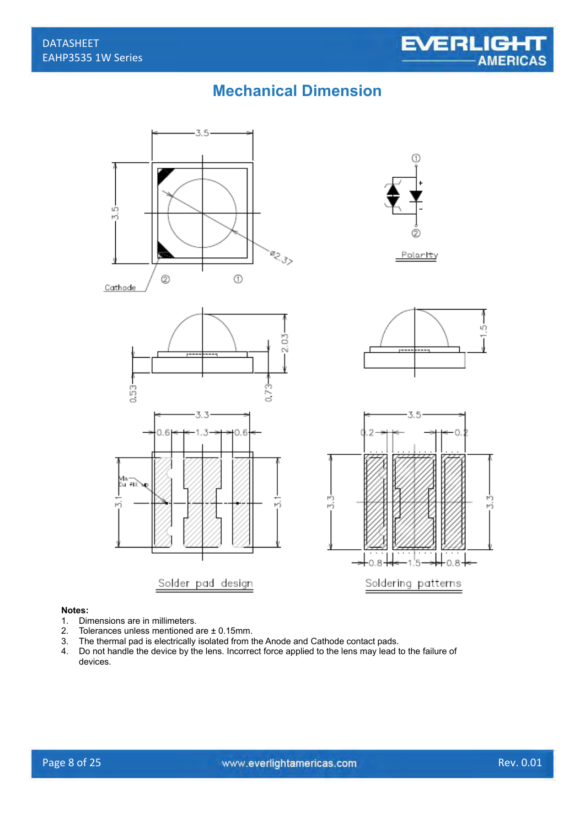## **Mechanical Dimension**



## **Notes:**

- 1. Dimensions are in millimeters.<br>2. Tolerances unless mentioned a
- 2. Tolerances unless mentioned are  $\pm$  0.15mm.<br>3. The thermal pad is electrically isolated from t
- 3. The thermal pad is electrically isolated from the Anode and Cathode contact pads.<br>4. Do not handle the device by the lens. Incorrect force applied to the lens may lead to
- Do not handle the device by the lens. Incorrect force applied to the lens may lead to the failure of devices.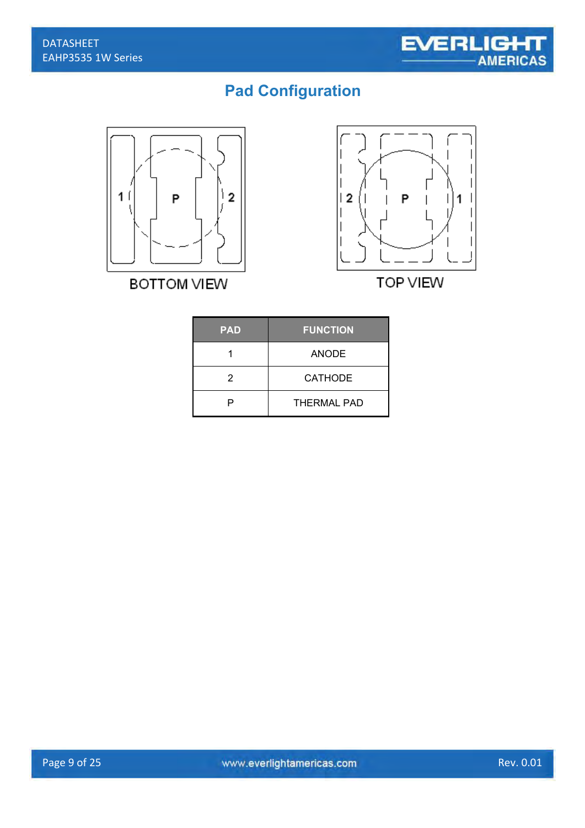## **Pad Configuration**



**BOTTOM VIEW** 



**TOP VIEW** 

| <b>PAD</b>     | <b>FUNCTION</b>    |  |
|----------------|--------------------|--|
|                | ANODE              |  |
| $\overline{2}$ | CATHODE            |  |
| P              | <b>THERMAL PAD</b> |  |
|                |                    |  |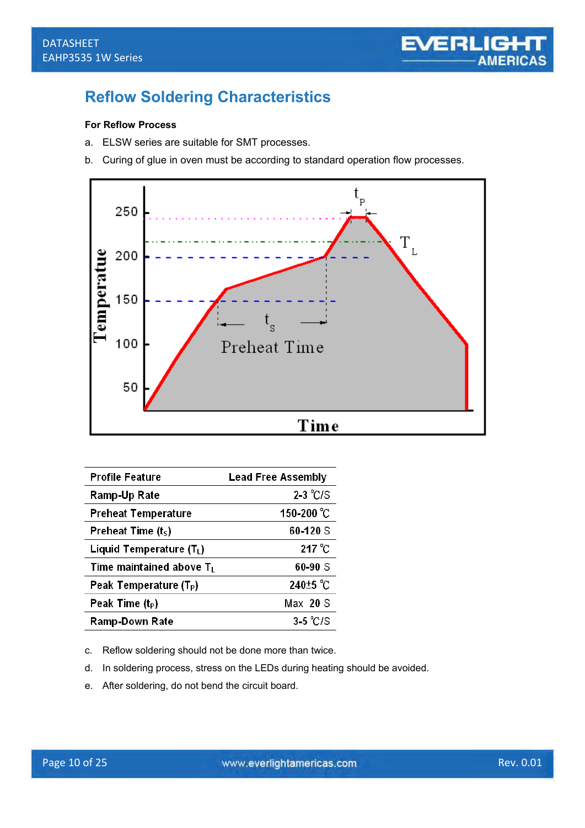## **Reflow Soldering Characteristics**

#### **For Reflow Process**

- a. ELSW series are suitable for SMT processes.
- b. Curing of glue in oven must be according to standard operation flow processes.



| <b>Profile Feature</b>               | <b>Lead Free Assembly</b> |
|--------------------------------------|---------------------------|
| Ramp-Up Rate                         | $2-3$ °C/S                |
| <b>Preheat Temperature</b>           | 150-200 °C                |
| Preheat Time $(tS)$                  | 60-120 S                  |
| Liquid Temperature (T <sub>L</sub> ) | 217 $^{\circ}$ C          |
| Time maintained above $T_L$          | 60-90 S                   |
| Peak Temperature (T <sub>P</sub> )   | 240 <sup>+5</sup> °C      |
| Peak Time $(t_P)$                    | $Max$ 20 S                |
| <b>Ramp-Down Rate</b>                | $3-5$ °C/S                |

c. Reflow soldering should not be done more than twice.

- d. In soldering process, stress on the LEDs during heating should be avoided.
- e. After soldering, do not bend the circuit board.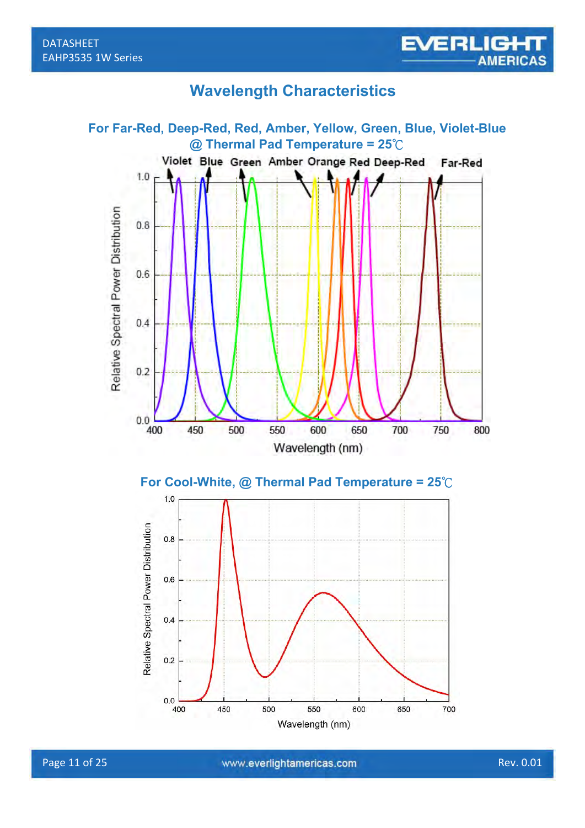## **Wavelength Characteristics**

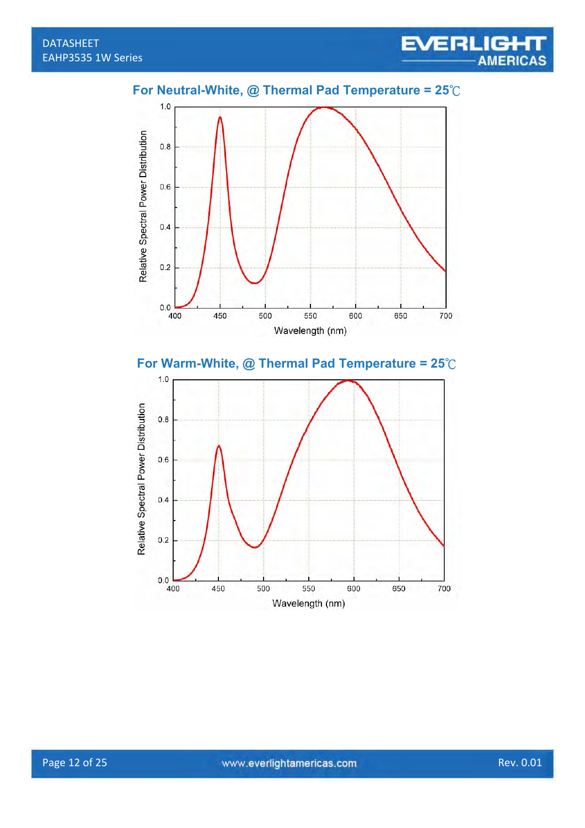



 $0.2$ 

 $0.0$ 

400

450

500

550

Wavelength (nm)

600

650

700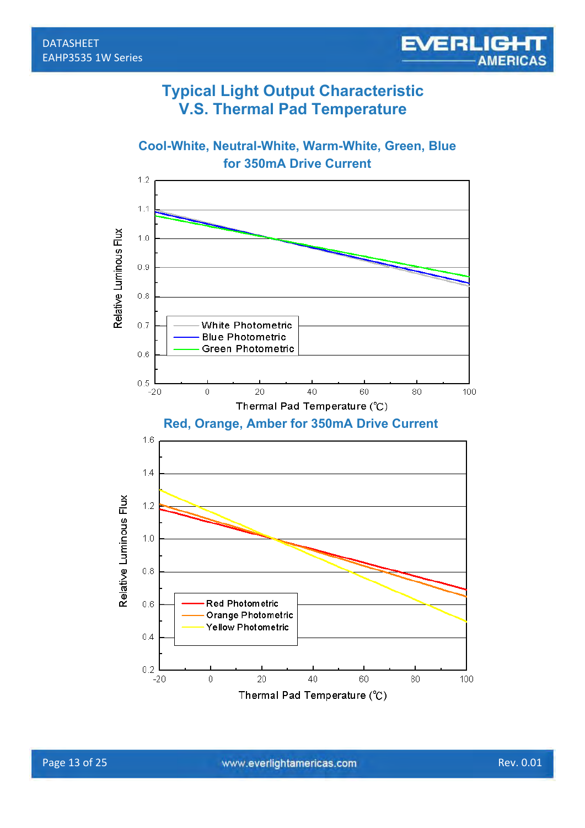#### **Typical Light Output Characteristic V.S. Thermal Pad Temperature**



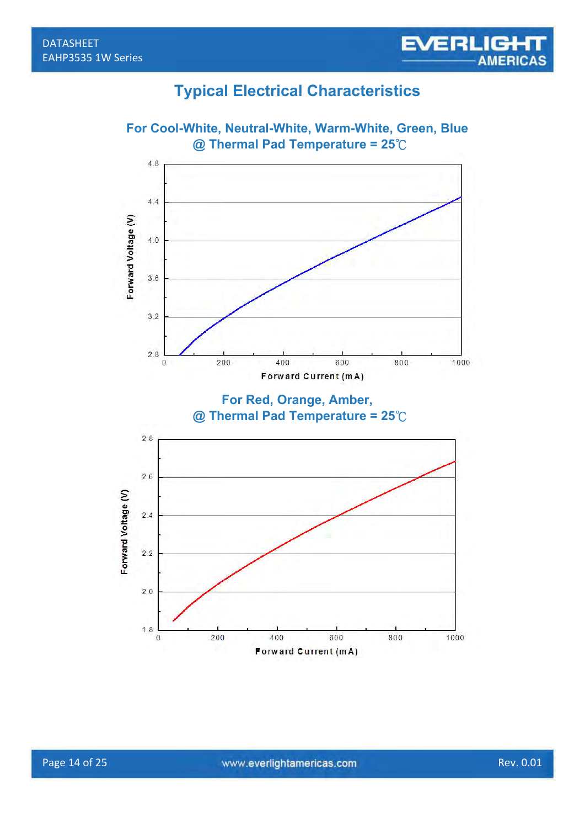### **Typical Electrical Characteristics**

**EVERLIGHT** 

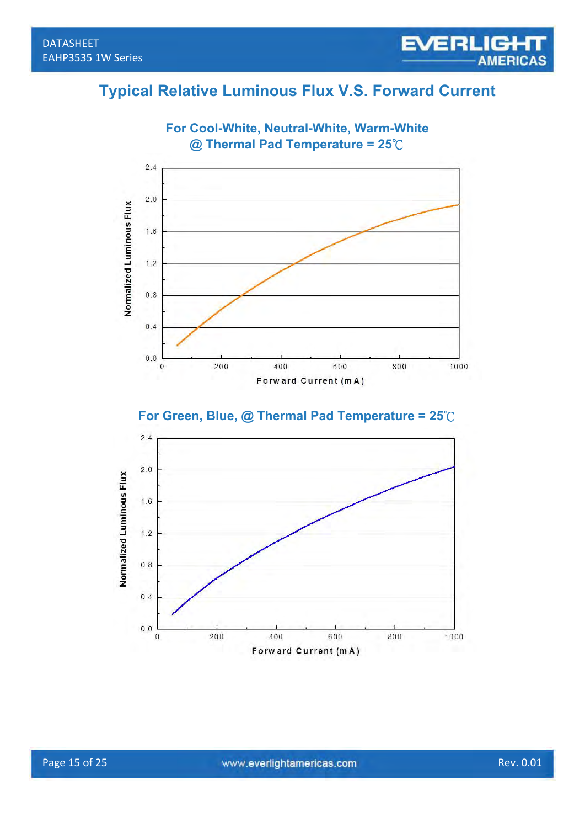## **Typical Relative Luminous Flux V.S. Forward Current**

**EVERLIGHT** 



**For Cool-White, Neutral-White, Warm-White** 



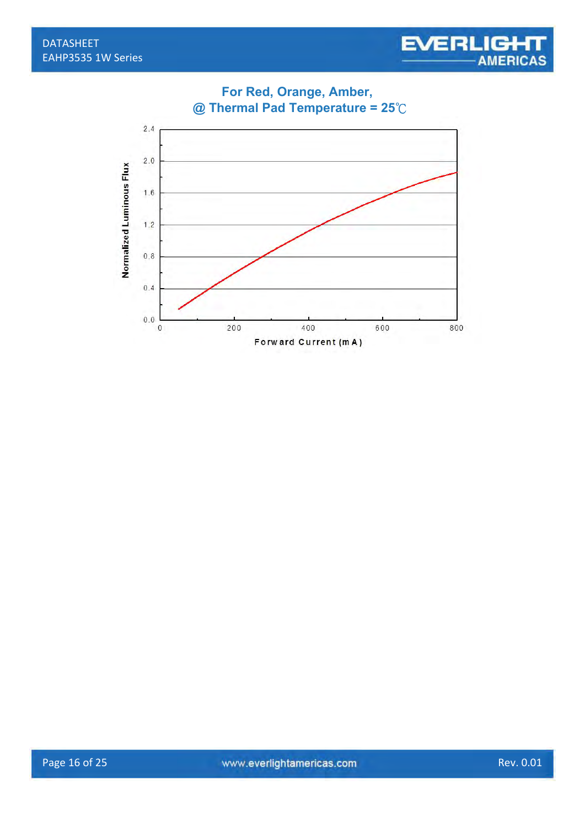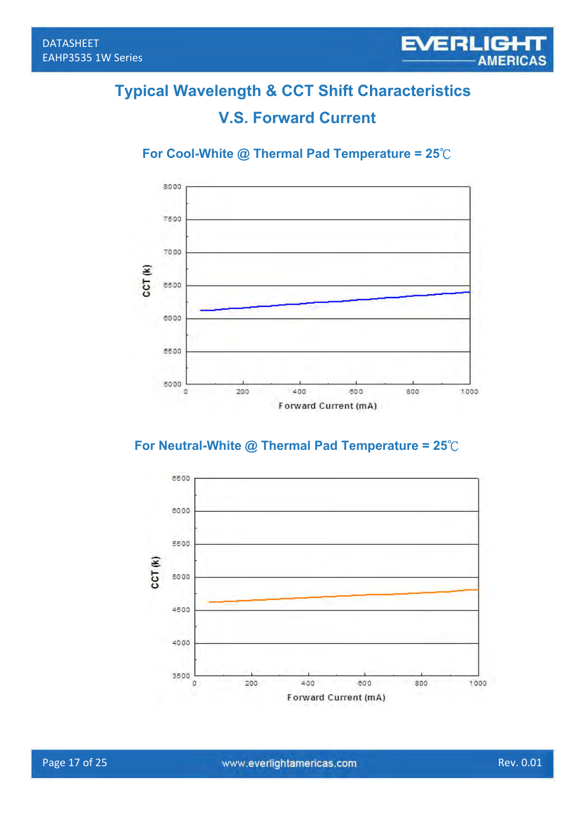## **Typical Wavelength & CCT Shift Characteristics**

## **V.S. Forward Current**

#### **For Cool-White @ Thermal Pad Temperature = 25**℃



#### **For Neutral-White @ Thermal Pad Temperature = 25**℃

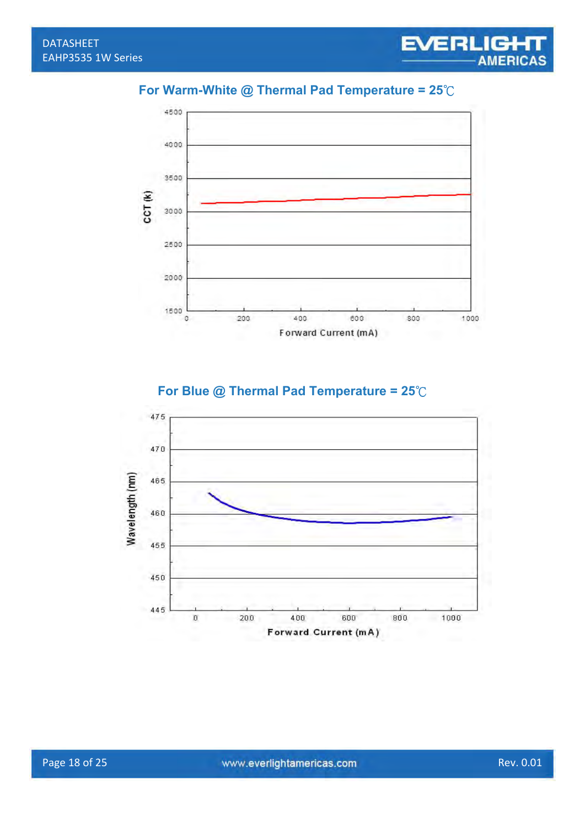#### **For Warm-White @ Thermal Pad Temperature = 25**℃



455

450

445

 $\rm{u}$ 

200

400

800

1000

600

Forward Current (mA)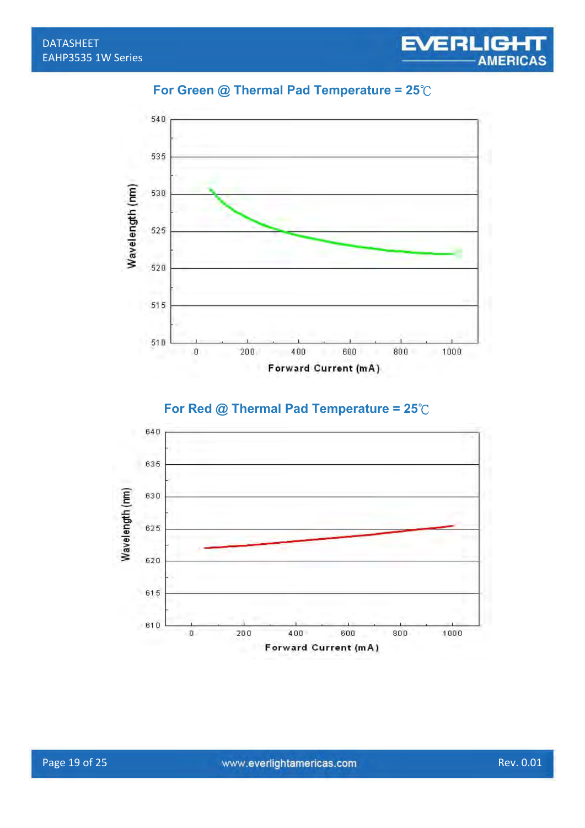



#### **For Red @ Thermal Pad Temperature = 25**℃

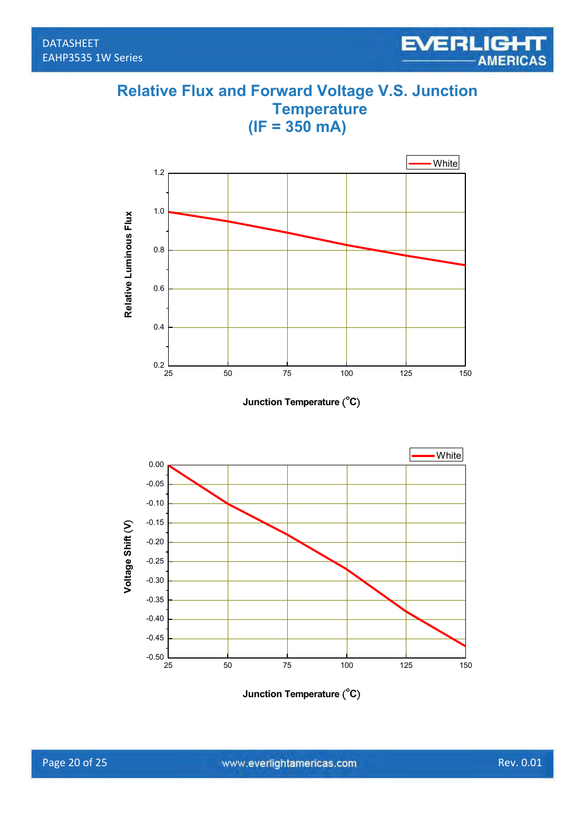### **Relative Flux and Forward Voltage V.S. Junction Temperature (IF = 350 mA)**



**Junction Temperature** ( **o C**)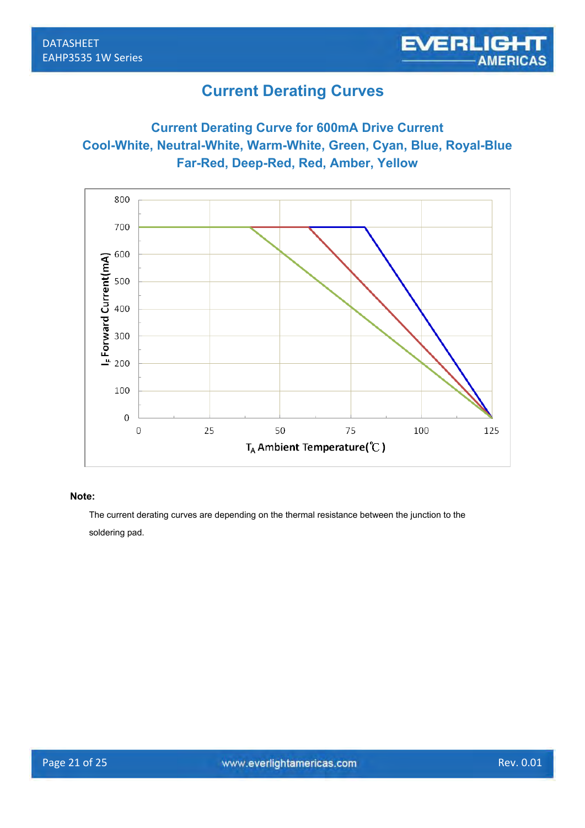### **Current Derating Curves**

#### **Current Derating Curve for 600mA Drive Current Cool-White, Neutral-White, Warm-White, Green, Cyan, Blue, Royal-Blue Far-Red, Deep-Red, Red, Amber, Yellow**



#### **Note:**

The current derating curves are depending on the thermal resistance between the junction to the soldering pad.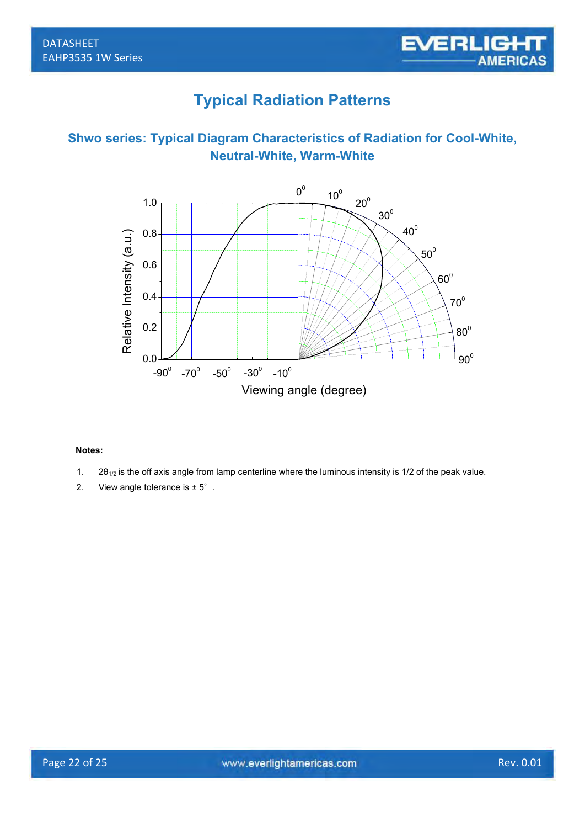## **Typical Radiation Patterns**





#### **Notes:**

- 1.  $2\theta_{1/2}$  is the off axis angle from lamp centerline where the luminous intensity is 1/2 of the peak value.
- 2. View angle tolerance is ± 5°.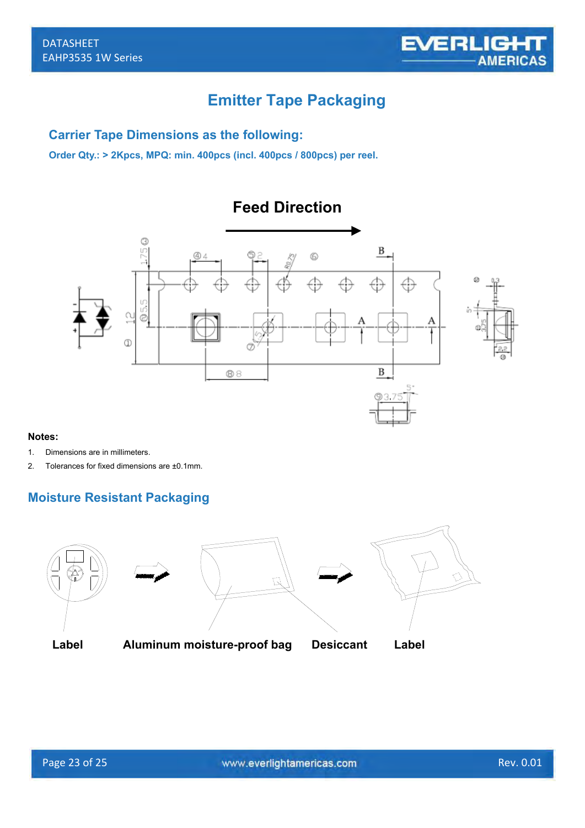

## **Emitter Tape Packaging**

**Feed Direction**

#### **Carrier Tape Dimensions as the following:**

**Order Qty.: > 2Kpcs, MPQ: min. 400pcs (incl. 400pcs / 800pcs) per reel.** 



#### **Moisture Resistant Packaging**

**Notes:** 

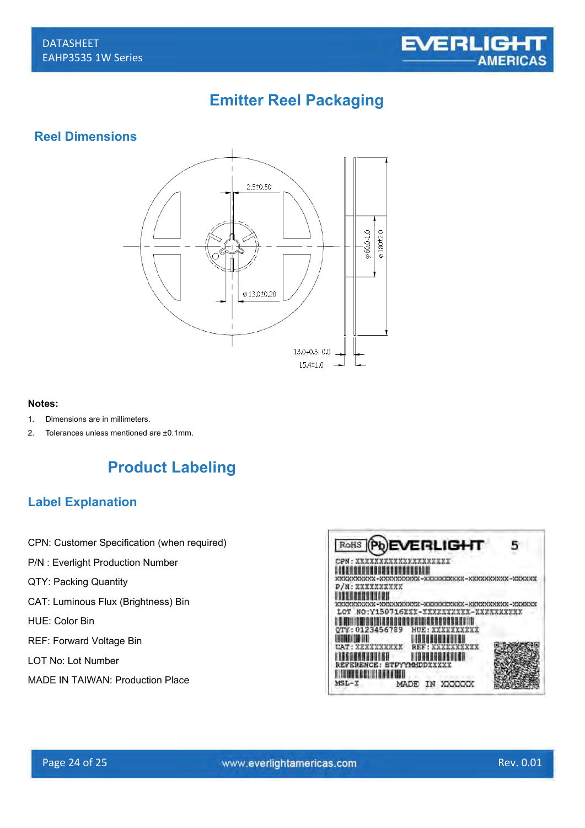

## **Emitter Reel Packaging**

#### **Reel Dimensions**



21

#### **Notes:**

- 1. Dimensions are in millimeters.
- 2. Tolerances unless mentioned are ±0.1mm.



#### **Label Explanation**

- CPN: Customer Specification (when required)
- P/N : Everlight Production Number
- QTY: Packing Quantity
- CAT: Luminous Flux (Brightness) Bin
- HUE: Color Bin
- REF: Forward Voltage Bin
- LOT No: Lot Number
- MADE IN TAIWAN: Production Place